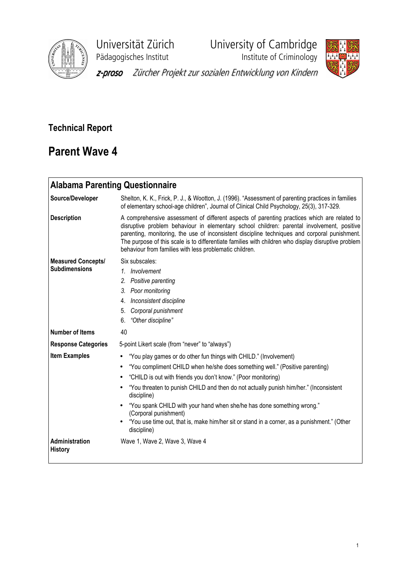

Universität Zürich University of Cambridge<br>Pädagogisches Institut Institute of Criminology

**Phagagogisches**<br>Institute of Criminology



z-proso Zürcher Projekt zur sozialen Entwicklung von Kindern

# Technical Report

# Parent Wave 4

| <b>Alabama Parenting Questionnaire</b>            |                                                                                                                                                                                                                                                                                                                                                                                                                                                                                                                                                               |
|---------------------------------------------------|---------------------------------------------------------------------------------------------------------------------------------------------------------------------------------------------------------------------------------------------------------------------------------------------------------------------------------------------------------------------------------------------------------------------------------------------------------------------------------------------------------------------------------------------------------------|
| Source/Developer                                  | Shelton, K. K., Frick, P. J., & Wootton, J. (1996). "Assessment of parenting practices in families<br>of elementary school-age children", Journal of Clinical Child Psychology, 25(3), 317-329.                                                                                                                                                                                                                                                                                                                                                               |
| <b>Description</b>                                | A comprehensive assessment of different aspects of parenting practices which are related to<br>disruptive problem behaviour in elementary school children: parental involvement, positive<br>parenting, monitoring, the use of inconsistent discipline techniques and corporal punishment.<br>The purpose of this scale is to differentiate families with children who display disruptive problem<br>behaviour from families with less problematic children.                                                                                                  |
| <b>Measured Concepts/</b><br><b>Subdimensions</b> | Six subscales:<br>1. Involvement<br>2. Positive parenting<br>3. Poor monitoring<br>Inconsistent discipline<br>4.<br>5. Corporal punishment<br>"Other discipline"<br>6.                                                                                                                                                                                                                                                                                                                                                                                        |
| <b>Number of Items</b>                            | 40                                                                                                                                                                                                                                                                                                                                                                                                                                                                                                                                                            |
| <b>Response Categories</b>                        | 5-point Likert scale (from "never" to "always")                                                                                                                                                                                                                                                                                                                                                                                                                                                                                                               |
| <b>Item Examples</b>                              | "You play games or do other fun things with CHILD." (Involvement)<br>$\bullet$<br>"You compliment CHILD when he/she does something well." (Positive parenting)<br>٠<br>"CHILD is out with friends you don't know." (Poor monitoring)<br>"You threaten to punish CHILD and then do not actually punish him/her." (Inconsistent<br>discipline)<br>"You spank CHILD with your hand when she/he has done something wrong."<br>(Corporal punishment)<br>"You use time out, that is, make him/her sit or stand in a corner, as a punishment." (Other<br>discipline) |
| Administration<br><b>History</b>                  | Wave 1, Wave 2, Wave 3, Wave 4                                                                                                                                                                                                                                                                                                                                                                                                                                                                                                                                |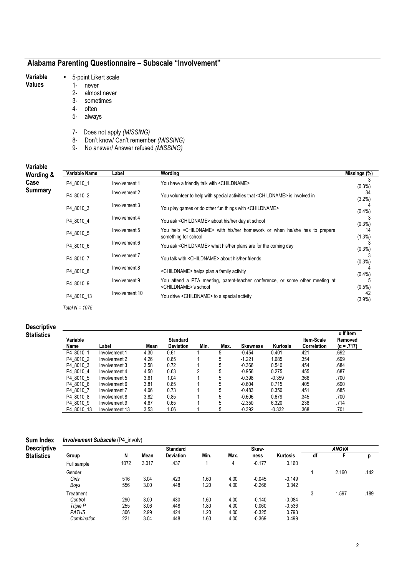## Alabama Parenting Questionnaire – Subscale "Involvement"

#### Variable • 5-point Likert scale

#### Values

- 1- never 2- almost never
	- 3- sometimes
	- 4- often
	- 5- always
	- 7- Does not apply (MISSING)
	- 8- Don't know/ Can't remember (MISSING)
	- 9- No answer/ Answer refused (MISSING)

## Variable

| Variable<br>Wording & | Variable Name              | Label          | Wording                                                                                                           | $\overline{\mathsf{Missings}}$ (%) |
|-----------------------|----------------------------|----------------|-------------------------------------------------------------------------------------------------------------------|------------------------------------|
| Case                  | P4 8010 1                  | Involvement 1  | You have a friendly talk with <childname></childname>                                                             | $(0.3\%)$                          |
| <b>Summary</b>        | P4 8010 2                  | Involvement 2  | You volunteer to help with special activities that <childname> is involved in</childname>                         | 34<br>$(3.2\%)$                    |
|                       | P4 8010 3                  | Involvement 3  | You play games or do other fun things with <childname></childname>                                                | $(0.4\%)$                          |
|                       | P4 8010 4                  | Involvement 4  | You ask <childname> about his/her day at school</childname>                                                       | $(0.3\%)$                          |
|                       | Involvement 5<br>P4 8010 5 |                | You help <childname> with his/her homework or when he/she has to prepare<br/>something for school</childname>     | 14<br>(1.3%)                       |
|                       | P4 8010 6                  | Involvement 6  | You ask <childname> what his/her plans are for the coming day</childname>                                         | $(0.3\%)$                          |
|                       | P4 8010 7                  | Involvement 7  | You talk with <childname> about his/her friends</childname>                                                       | $(0.3\%)$                          |
|                       | P4 8010 8                  | Involvement 8  | <childname> helps plan a family activity</childname>                                                              | $(0.4\%)$                          |
|                       | P4 8010 9                  | Involvement 9  | You attend a PTA meeting, parent-teacher conference, or some other meeting at<br><childname>'s school</childname> | $(0.5\%)$                          |
|                       | P4 8010 13                 | Involvement 10 | You drive < CHILDNAME > to a special activity                                                                     | 42<br>$(3.9\%)$                    |

### Descriptive

#### **Statistics**

| Variable<br>Name | Label          | Mean | Standard<br><b>Deviation</b> | Min. | Max. | <b>Skewness</b> | <b>Kurtosis</b> | <b>Item-Scale</b><br><b>Correlation</b> | $\alpha$ If Item<br>Removed<br>$(\alpha = .717)$ |
|------------------|----------------|------|------------------------------|------|------|-----------------|-----------------|-----------------------------------------|--------------------------------------------------|
| P4 8010 1        | Involvement 1  | 4.30 | 0.61                         |      | 5    | $-0.454$        | 0.401           | .421                                    | .692                                             |
| P4 8010 2        | Involvement 2  | 4.26 | 0.85                         |      | 5    | $-1.221$        | 1.685           | .354                                    | .699                                             |
| P4 8010 3        | Involvement 3  | 3.58 | 0.72                         |      | 5    | $-0.366$        | 0.540           | .454                                    | .684                                             |
| P4 8010 4        | Involvement 4  | 4.50 | 0.63                         | 2    | 5    | $-0.956$        | 0.275           | .455                                    | .687                                             |
| P4 8010 5        | Involvement 5  | 3.61 | 1.04                         |      | 5    | $-0.398$        | $-0.359$        | .366                                    | .700                                             |
| P4 8010 6        | Involvement 6  | 3.81 | 0.85                         |      | 5    | $-0.604$        | 0.715           | .405                                    | .690                                             |
| P4 8010 7        | Involvement 7  | 4.06 | 0.73                         |      | 5    | $-0.483$        | 0.350           | .451                                    | .685                                             |
| P4 8010 8        | Involvement 8  | 3.82 | 0.85                         |      | 5    | $-0.606$        | 0.679           | .345                                    | .700                                             |
| P4 8010 9        | Involvement 9  | 4.67 | 0.65                         |      | 5    | $-2.350$        | 6.320           | .238                                    | .714                                             |
| P4 8010 13       | Involvement 13 | 3.53 | 1.06                         |      | 5    | $-0.392$        | $-0.332$        | .368                                    | .701                                             |

#### Sum Index Involvement Subscale (P4\_involv)

Total  $N = 1075$ 

| <b>Descriptive</b> |              |      |       | <b>Standard</b>  |      |      | <b>Skew</b> |          |        | <b>ANOVA</b> |      |
|--------------------|--------------|------|-------|------------------|------|------|-------------|----------|--------|--------------|------|
| <b>Statistics</b>  | Group        | N    | Mean  | <b>Deviation</b> | Min. | Max. | ness        | Kurtosis | dt     |              |      |
|                    | Full sample  | 1072 | 3.017 | .437             |      | 4    | $-0.177$    | 0.160    |        |              |      |
|                    | Gender       |      |       |                  |      |      |             |          |        | 2.160        | .142 |
|                    | Girls        | 516  | 3.04  | .423             | 1.60 | 4.00 | $-0.045$    | $-0.149$ |        |              |      |
|                    | Boys         | 556  | 3.00  | .448             | 1.20 | 4.00 | $-0.266$    | 0.342    |        |              |      |
|                    | Treatment    |      |       |                  |      |      |             |          | າ<br>G | 1.597        | .189 |
|                    | Control      | 290  | 3.00  | .430             | 1.60 | 4.00 | $-0.140$    | $-0.084$ |        |              |      |
|                    | Triple P     | 255  | 3.06  | .448             | 1.80 | 4.00 | 0.060       | $-0.536$ |        |              |      |
|                    | <b>PATHS</b> | 306  | 2.99  | .424             | 1.20 | 4.00 | $-0.325$    | 0.793    |        |              |      |
|                    | Combination  | 221  | 3.04  | .448             | 1.60 | 4.00 | $-0.369$    | 0.499    |        |              |      |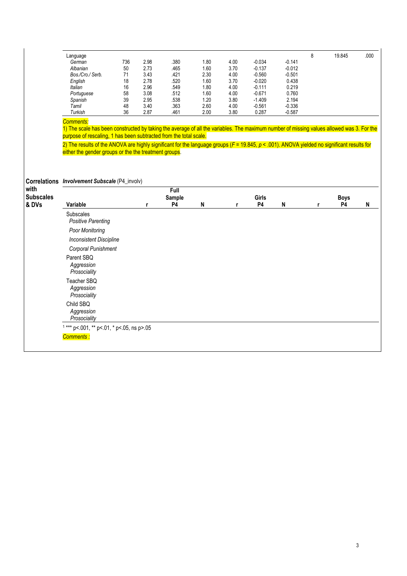| Language                                                                                                                                           |     |      |        |      |      |          |          | 8 | 19.845      |  |
|----------------------------------------------------------------------------------------------------------------------------------------------------|-----|------|--------|------|------|----------|----------|---|-------------|--|
| German                                                                                                                                             | 736 | 2.98 | .380   | 1.80 | 4.00 | $-0.034$ | $-0.141$ |   |             |  |
| Albanian                                                                                                                                           | 50  | 2.73 | .465   | 1.60 | 3.70 | $-0.137$ | $-0.012$ |   |             |  |
| Bos./Cro./ Serb.                                                                                                                                   | 71  | 3.43 | .421   | 2.30 | 4.00 | $-0.560$ | $-0.501$ |   |             |  |
| English                                                                                                                                            | 18  | 2.78 | .520   | 1.60 | 3.70 | $-0.020$ | 0.438    |   |             |  |
| <b>Italian</b>                                                                                                                                     | 16  | 2.96 | .549   | 1.80 | 4.00 | $-0.111$ | 0.219    |   |             |  |
| Portuguese                                                                                                                                         | 58  | 3.08 | .512   | 1.60 | 4.00 | $-0.671$ | 0.760    |   |             |  |
| Spanish                                                                                                                                            | 39  | 2.95 | .538   | 1.20 | 3.80 | $-1.409$ | 2.194    |   |             |  |
| Tamil                                                                                                                                              | 48  | 3.40 | .363   | 2.60 | 4.00 | $-0.561$ | $-0.336$ |   |             |  |
| Turkish                                                                                                                                            | 36  | 2.87 | .461   | 2.00 | 3.80 | 0.287    | $-0.587$ |   |             |  |
| <b>Comments:</b>                                                                                                                                   |     |      |        |      |      |          |          |   |             |  |
| 1) The scale has been constructed by taking the average of all the variables. The maximum number of missing values allowed was 3. For the          |     |      |        |      |      |          |          |   |             |  |
| purpose of rescaling, 1 has been subtracted from the total scale.                                                                                  |     |      |        |      |      |          |          |   |             |  |
| 2) The results of the ANOVA are highly significant for the language groups ( $F = 19.845$ , $p < .001$ ). ANOVA yielded no significant results for |     |      |        |      |      |          |          |   |             |  |
| either the gender groups or the the treatment groups.                                                                                              |     |      |        |      |      |          |          |   |             |  |
|                                                                                                                                                    |     |      |        |      |      |          |          |   |             |  |
|                                                                                                                                                    |     |      |        |      |      |          |          |   |             |  |
|                                                                                                                                                    |     |      |        |      |      |          |          |   |             |  |
|                                                                                                                                                    |     |      |        |      |      |          |          |   |             |  |
|                                                                                                                                                    |     |      |        |      |      |          |          |   |             |  |
| Correlations Involvement Subscale (P4_involv)                                                                                                      |     |      |        |      |      |          |          |   |             |  |
|                                                                                                                                                    |     |      | Full   |      |      |          |          |   |             |  |
|                                                                                                                                                    |     |      |        |      |      |          |          |   |             |  |
|                                                                                                                                                    |     | r    | Sample |      | r    | Girls    |          | r | <b>Boys</b> |  |
| Variable                                                                                                                                           |     |      | P4     | N    |      | P4       | N        |   | <b>P4</b>   |  |
| Subscales                                                                                                                                          |     |      |        |      |      |          |          |   |             |  |
| <b>Positive Parenting</b>                                                                                                                          |     |      |        |      |      |          |          |   |             |  |
| Poor Monitoring                                                                                                                                    |     |      |        |      |      |          |          |   |             |  |
| <b>Inconsistent Discipline</b>                                                                                                                     |     |      |        |      |      |          |          |   |             |  |
| Corporal Punishment                                                                                                                                |     |      |        |      |      |          |          |   |             |  |
|                                                                                                                                                    |     |      |        |      |      |          |          |   |             |  |
| Parent SBQ                                                                                                                                         |     |      |        |      |      |          |          |   |             |  |
| Aggression                                                                                                                                         |     |      |        |      |      |          |          |   |             |  |
| Prosociality                                                                                                                                       |     |      |        |      |      |          |          |   |             |  |
| Teacher SBO                                                                                                                                        |     |      |        |      |      |          |          |   |             |  |
| Aggression                                                                                                                                         |     |      |        |      |      |          |          |   |             |  |
|                                                                                                                                                    |     |      |        |      |      |          |          |   |             |  |
| Prosociality                                                                                                                                       |     |      |        |      |      |          |          |   |             |  |
| Child SBQ                                                                                                                                          |     |      |        |      |      |          |          |   |             |  |
| Aggression                                                                                                                                         |     |      |        |      |      |          |          |   |             |  |
| Prosociality                                                                                                                                       |     |      |        |      |      |          |          |   |             |  |
|                                                                                                                                                    |     |      |        |      |      |          |          |   |             |  |
| $1***$ p<.001, ** p<.01, * p<.05, ns p>.05<br>Comments :                                                                                           |     |      |        |      |      |          |          |   |             |  |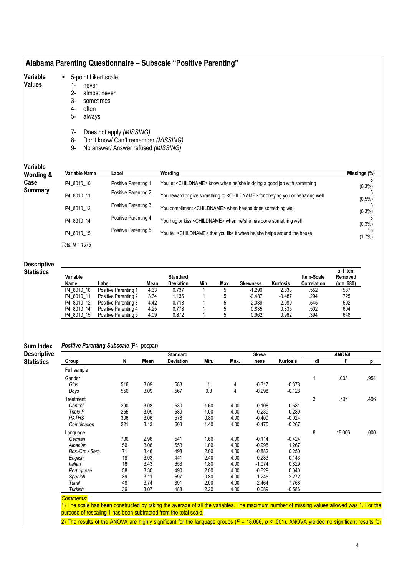## Alabama Parenting Questionnaire – Subscale "Positive Parenting"

#### Variable • 5-point Likert scale

#### Values

- 2- almost never<br>3- sometimes
	- sometimes
- 4- often

1- never

- 5- always
- 7- Does not apply (MISSING)
- 8- Don't know/ Can't remember (MISSING)
- 9- No answer/ Answer refused (MISSING)

### riable

| Variable<br>Wording & | <b>Variable Name</b> | Label                | Wording                                                                                  | Missings (%)    |
|-----------------------|----------------------|----------------------|------------------------------------------------------------------------------------------|-----------------|
| Case                  | P4 8010 10           | Positive Parenting 1 | You let <childname> know when he/she is doing a good job with something</childname>      | $(0.3\%)$       |
| <b>Summary</b>        | P4 8010 11           | Positive Parenting 2 | You reward or give something to <childname> for obeying you or behaving well</childname> | $(0.5\%)$       |
|                       | P4 8010 12           | Positive Parenting 3 | You compliment < CHILDNAME> when he/she does something well                              | $(0.3\%)$       |
|                       | P4 8010 14           | Positive Parenting 4 | You hug or kiss <childname> when he/she has done something well</childname>              | $(0.3\%)$       |
|                       | P4 8010 15           | Positive Parenting 5 | You tell <childname> that you like it when he/she helps around the house</childname>     | 18<br>$(1.7\%)$ |
|                       | Total $N = 1075$     |                      |                                                                                          |                 |

#### **Descriptive Statistics**

| Variable<br>Name | Label                | Mean | <b>Standard</b><br><b>Deviation</b> | Min. | Max. | Skewness | Kurtosis | <b>Item-Scale</b><br>Correlation | $\alpha$ If Item<br>Removed<br>$(\alpha = .680)$ |
|------------------|----------------------|------|-------------------------------------|------|------|----------|----------|----------------------------------|--------------------------------------------------|
| P4 8010 10       | Positive Parenting 1 | 4.33 | 0.737                               |      |      | $-1.290$ | 2.833    | .552                             | .587                                             |
| P4 8010 11       | Positive Parenting 2 | 3.34 | 1.136                               |      |      | $-0.487$ | $-0.487$ | .294                             | .725                                             |
| P4 8010 12       | Positive Parenting 3 | 4.42 | 0.718                               |      |      | 2.089    | 2.089    | .545                             | .592                                             |
| P4 8010 14       | Positive Parenting 4 | 4.25 | 0.778                               |      |      | 0.835    | 0.835    | .502                             | .604                                             |
| P4 8010 15       | Positive Parenting 5 | 4.09 | 0.872                               |      |      | 0.962    | 0.962    | .394                             | .648                                             |

#### Sum Index Positive Parenting Subscale (P4\_pospar)

**Descriptive Statistics** Standard Standard Skew- Skew- ANOVA Group N Mean Deviation Min. Max. ness Kurtosis df F p Full sample Gender 1 .003 .954 Girls 516 3.09 .583 1 4 -0.317 -0.378 Boys 556 3.09 .567 0.8 4 -0.298 -0.128 Treatment 3 .797 .496 Control 290 3.08 .530 1.60 4.00 -0.108 -0.581 Triple P 255 3.09 .589 1.00 4.00 -0.239 -0.280 PATHS 306 3.06 .578 0.80 4.00 -0.400 -0.024 Combination 221 3.13 .608 1.40 4.00 -0.475 -0.267 Language 8 18.066 .000 German 736 2.98 .541 1.60 4.00 -0.114 -0.424 Albanian 50 3.08 .653 1.00 4.00 -0.998 1.267 Bos./Cro./ Serb. 71 3.46 .498 2.00 4.00 -0.882 0.250 English 18 3.03 .441 2.40 4.00 0.283 -0.143 Italian 16 3.43 .653 1.80 4.00 -1.074 0.829 Portuguese 58 3.30 .490 2.00 4.00 -0.629 0.040 Spanish 39 3.11 .697 0.80 4.00 -1.245 2.272 Tamil 48 3.74 .391 2.00 4.00 -2.464 7.768 Turkish 36 3.07 .488 2.20 4.00 0.089 -0.586

#### **Comments:**

1) The scale has been constructed by taking the average of all the variables. The maximum number of missing values allowed was 1. For the purpose of rescaling 1 has been subtracted from the total scale.

2) The results of the ANOVA are highly significant for the language groups ( $F = 18.066$ ,  $p < .001$ ). ANOVA yielded no significant results for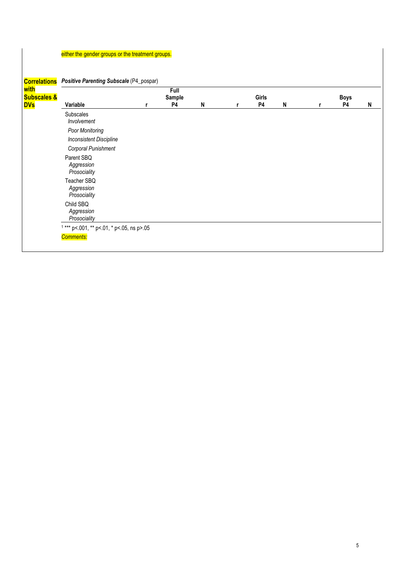## either the gender groups or the treatment groups.

| <b>Subscales &amp;</b> |                                                   | Full<br>Sample |   |   | Girls     |   | <b>Boys</b> |   |
|------------------------|---------------------------------------------------|----------------|---|---|-----------|---|-------------|---|
|                        | Variable                                          | P4             | N | r | <b>P4</b> | N | <b>P4</b>   | N |
|                        | Subscales<br>Involvement                          |                |   |   |           |   |             |   |
|                        | Poor Monitoring<br><b>Inconsistent Discipline</b> |                |   |   |           |   |             |   |
|                        | Corporal Punishment                               |                |   |   |           |   |             |   |
|                        | Parent SBQ<br>Aggression<br>Prosociality          |                |   |   |           |   |             |   |
|                        | Teacher SBQ<br>Aggression<br>Prosociality         |                |   |   |           |   |             |   |
|                        | Child SBQ<br>Aggression<br>Prosociality           |                |   |   |           |   |             |   |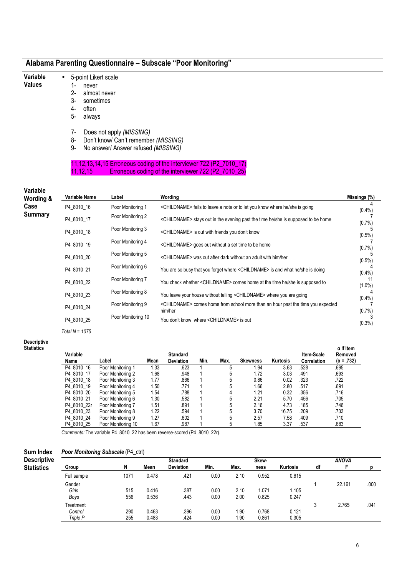## Alabama Parenting Questionnaire – Subscale "Poor Monitoring"

#### Variable • 5-point Likert scale

#### Values

- 1- never 2- almost never
- 3- sometimes
- 4- often
- 5- always
- 7- Does not apply (MISSING)
- 8- Don't know/ Can't remember (MISSING)
- 9- No answer/ Answer refused (MISSING)

### 11,12,13,14,15 Erroneous coding of the interviewer 722 (P2\_7010\_17)<br>11,12,15 Erroneous coding of the interviewer 722 (P2\_7010\_25) Erroneous coding of the interviewer 722  $(P2\overline{7010\overline{25}})$

| Wording &      | Variable Name    | Label              | Wording                                                                                                 | Missings (%)    |
|----------------|------------------|--------------------|---------------------------------------------------------------------------------------------------------|-----------------|
| Case           | P4 8010 16       | Poor Monitoring 1  | <childname> fails to leave a note or to let you know where he/she is going</childname>                  | $(0.4\%)$       |
| <b>Summary</b> | P4 8010 17       | Poor Monitoring 2  | <childname> stays out in the evening past the time he/she is supposed to be home</childname>            | (0.7%           |
|                | P4_8010_18       | Poor Monitoring 3  | <childname> is out with friends you don't know</childname>                                              | $(0.5\%)$       |
|                | P4 8010 19       | Poor Monitoring 4  | <childname> goes out without a set time to be home</childname>                                          | (0.7%           |
|                | P4 8010 20       | Poor Monitoring 5  | <childname> was out after dark without an adult with him/her</childname>                                | $(0.5\%)$       |
|                | P4 8010 21       | Poor Monitoring 6  | You are so busy that you forget where <childname> is and what he/she is doing</childname>               | $(0.4\%)$       |
|                | P4 8010 22       | Poor Monitoring 7  | You check whether <childname> comes home at the time he/she is supposed to</childname>                  | 11<br>$(1.0\%)$ |
|                | P4 8010 23       | Poor Monitoring 8  | You leave your house without telling <childname> where you are going</childname>                        | $(0.4\%)$       |
|                | P4 8010 24       | Poor Monitoring 9  | <childname> comes home from school more than an hour past the time you expected<br/>him/her</childname> | (0.7%           |
|                | P4 8010 25       | Poor Monitoring 10 | You don't know where <childname> is out</childname>                                                     | $(0.3\%)$       |
|                | Total $N = 1075$ |                    |                                                                                                         |                 |

Descriptive **Statistics** 

| Variable    |                    |      | <b>Standard</b>  |      |      |                 |          | Item-Scale  | $\alpha$ If Item<br>Removed |
|-------------|--------------------|------|------------------|------|------|-----------------|----------|-------------|-----------------------------|
| Name        | Label              | Mean | <b>Deviation</b> | Min. | Max. | <b>Skewness</b> | Kurtosis | Correlation | $(\alpha = .732)$           |
| P4 8010 16  | Poor Monitoring 1  | 1.33 | .623             |      | 5    | 1.94            | 3.63     | .528        | .695                        |
| P4 8010 17  | Poor Monitoring 2  | 1.68 | .948             |      | 5    | 1.72            | 3.03     | .491        | .693                        |
| P4 8010 18  | Poor Monitoring 3  | 1.77 | .866             |      | 5    | 0.86            | 0.02     | .323        | .722                        |
| P4 8010 19  | Poor Monitoring 4  | 1.50 | .771             |      | 5    | 1.66            | 2.80     | .517        | .691                        |
| P4 8010 20  | Poor Monitoring 5  | 1.54 | .788             |      | 4    | 1.21            | 0.32     | .356        | .716                        |
| P4 8010 21  | Poor Monitoring 6  | 1.30 | .582             |      | 5    | 2.21            | 5.70     | .456        | .705                        |
| P4 8010 22r | Poor Monitoring 7  | 1.51 | .891             |      | 5    | 2.16            | 4.73     | .185        | .746                        |
| P4 8010 23  | Poor Monitoring 8  | 1.22 | .594             |      | 5    | 3.70            | 16.75    | .209        | .733                        |
| P4 8010 24  | Poor Monitoring 9  | 1.27 | .602             |      | 5    | 2.57            | 7.58     | .409        | .710                        |
| P4 8010 25  | Poor Monitoring 10 | 1.67 | .987             |      | 5    | 1.85            | 3.37     | .537        | .683                        |

Comments: The variable P4\_8010\_22 has been reverse-scored (P4\_8010\_22r).

#### Sum Index Poor Monitoring Subscale (P4\_ctrl)

| Descriptiv |  |
|------------|--|
|            |  |
|            |  |

| <b>Descriptive</b> |             |      |       | <b>Standard</b>  |      |      | <b>Skew</b> |          |    | <b>ANOVA</b> |      |
|--------------------|-------------|------|-------|------------------|------|------|-------------|----------|----|--------------|------|
| <b>Statistics</b>  | Group       | N    | Mean  | <b>Deviation</b> | Min. | Max. | ness        | Kurtosis | df |              |      |
|                    | Full sample | 1071 | 0.478 | .421             | 0.00 | 2.10 | 0.952       | 0.615    |    |              |      |
|                    | Gender      |      |       |                  |      |      |             |          |    | 22.161       | .000 |
|                    | Girls       | 515  | 0.416 | .387             | 0.00 | 2.10 | 1.071       | 1.105    |    |              |      |
|                    | Boys        | 556  | 0.536 | .443             | 0.00 | 2.00 | 0.825       | 0.247    |    |              |      |
|                    | Treatment   |      |       |                  |      |      |             |          |    | 2.765        | .041 |
|                    | Control     | 290  | 0.463 | .396             | 0.00 | 1.90 | 0.768       | 0.121    |    |              |      |
|                    | Triple P    | 255  | 0.483 | .424             | 0.00 | 1.90 | 0.861       | 0.305    |    |              |      |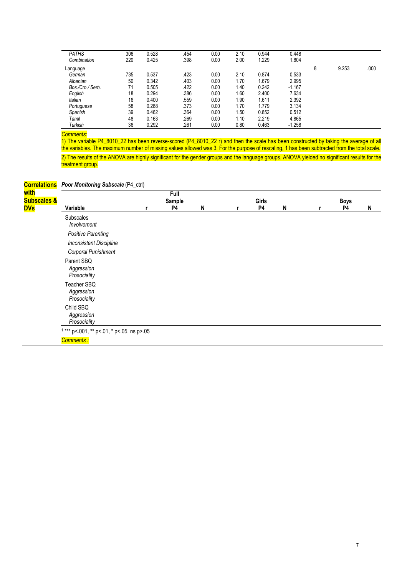|                        | <b>PATHS</b>                                                                                                                                   | 306      | 0.528          | .454         | 0.00         | 2.10         | 0.944          | 0.448          |   |             |      |
|------------------------|------------------------------------------------------------------------------------------------------------------------------------------------|----------|----------------|--------------|--------------|--------------|----------------|----------------|---|-------------|------|
|                        | Combination                                                                                                                                    | 220      | 0.425          | .398         | 0.00         | 2.00         | 1.229          | 1.804          |   |             |      |
|                        | Language                                                                                                                                       |          |                |              |              |              |                |                | 8 | 9.253       | .000 |
|                        | German                                                                                                                                         | 735      | 0.537          | .423         | 0.00         | 2.10         | 0.874          | 0.533          |   |             |      |
|                        | Albanian                                                                                                                                       | 50       | 0.342          | .403         | 0.00         | 1.70         | 1.679          | 2.995          |   |             |      |
|                        | Bos./Cro./ Serb.                                                                                                                               | 71       | 0.505          | .422         | 0.00         | 1.40         | 0.242          | $-1.167$       |   |             |      |
|                        | English                                                                                                                                        | 18       | 0.294          | .386         | 0.00         | 1.60         | 2.400          | 7.634          |   |             |      |
|                        | <b>Italian</b>                                                                                                                                 | 16       | 0.400          | .559         | 0.00         | 1.90         | 1.611          | 2.392          |   |             |      |
|                        | Portuguese                                                                                                                                     | 58       | 0.288          | .373         | 0.00         | 1.70         | 1.779          | 3.134          |   |             |      |
|                        | Spanish<br>Tamil                                                                                                                               | 39<br>48 | 0.462<br>0.163 | .364<br>.269 | 0.00<br>0.00 | 1.50<br>1.10 | 0.852<br>2.219 | 0.512<br>4.865 |   |             |      |
|                        | Turkish                                                                                                                                        | 36       | 0.292          | .261         | 0.00         | 0.80         | 0.463          | $-1.258$       |   |             |      |
|                        |                                                                                                                                                |          |                |              |              |              |                |                |   |             |      |
|                        | <b>Comments:</b>                                                                                                                               |          |                |              |              |              |                |                |   |             |      |
|                        | 1) The variable P4_8010_22 has been reverse-scored (P4_8010_22 r) and then the scale has been constructed by taking the average of all         |          |                |              |              |              |                |                |   |             |      |
|                        | the variables. The maximum number of missing values allowed was 3. For the purpose of rescaling, 1 has been subtracted from the total scale.   |          |                |              |              |              |                |                |   |             |      |
|                        | 2) The results of the ANOVA are highly significant for the gender groups and the language groups. ANOVA yielded no significant results for the |          |                |              |              |              |                |                |   |             |      |
|                        | treatment group.                                                                                                                               |          |                |              |              |              |                |                |   |             |      |
|                        |                                                                                                                                                |          |                |              |              |              |                |                |   |             |      |
|                        |                                                                                                                                                |          |                |              |              |              |                |                |   |             |      |
| <b>Correlations</b>    | Poor Monitoring Subscale (P4_ctrl)                                                                                                             |          |                |              |              |              |                |                |   |             |      |
| with                   |                                                                                                                                                |          |                | Full         |              |              |                |                |   |             |      |
| <b>Subscales &amp;</b> |                                                                                                                                                |          |                | Sample       |              |              | Girls          |                |   | <b>Boys</b> |      |
| <b>DVs</b>             | Variable                                                                                                                                       |          | r              | P4           | N            | r            | P4             | N              | r | <b>P4</b>   | N    |
|                        | <b>Subscales</b>                                                                                                                               |          |                |              |              |              |                |                |   |             |      |
|                        | Involvement                                                                                                                                    |          |                |              |              |              |                |                |   |             |      |
|                        |                                                                                                                                                |          |                |              |              |              |                |                |   |             |      |
|                        | <b>Positive Parenting</b><br><b>Inconsistent Discipline</b>                                                                                    |          |                |              |              |              |                |                |   |             |      |
|                        |                                                                                                                                                |          |                |              |              |              |                |                |   |             |      |
|                        | Corporal Punishment                                                                                                                            |          |                |              |              |              |                |                |   |             |      |
|                        | Parent SBQ                                                                                                                                     |          |                |              |              |              |                |                |   |             |      |
|                        | Aggression                                                                                                                                     |          |                |              |              |              |                |                |   |             |      |
|                        | Prosociality                                                                                                                                   |          |                |              |              |              |                |                |   |             |      |
|                        | Teacher SBQ                                                                                                                                    |          |                |              |              |              |                |                |   |             |      |
|                        |                                                                                                                                                |          |                |              |              |              |                |                |   |             |      |
|                        | Aggression                                                                                                                                     |          |                |              |              |              |                |                |   |             |      |
|                        | Prosociality                                                                                                                                   |          |                |              |              |              |                |                |   |             |      |
|                        | Child SBQ                                                                                                                                      |          |                |              |              |              |                |                |   |             |      |
|                        | Aggression                                                                                                                                     |          |                |              |              |              |                |                |   |             |      |
|                        | Prosociality                                                                                                                                   |          |                |              |              |              |                |                |   |             |      |
|                        | $1***$ p<.001, ** p<.01, * p<.05, ns p>.05                                                                                                     |          |                |              |              |              |                |                |   |             |      |
|                        | Comments :                                                                                                                                     |          |                |              |              |              |                |                |   |             |      |
|                        |                                                                                                                                                |          |                |              |              |              |                |                |   |             |      |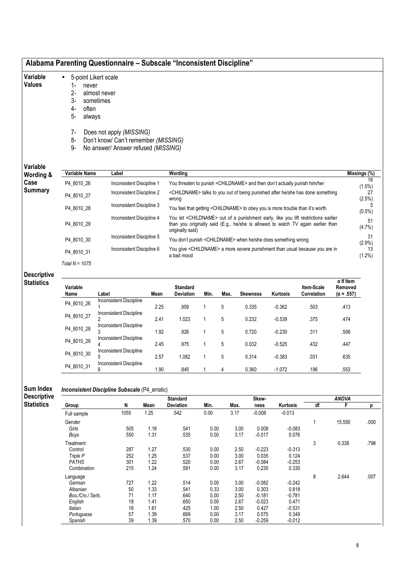| Variable      | $\bullet$ | 5-point Likert scale                       |
|---------------|-----------|--------------------------------------------|
| <b>Values</b> |           | never<br>$\mathsf{I}$ –                    |
|               |           | 2-<br>almost never                         |
|               |           | 3-<br>sometimes                            |
|               |           | often<br>4-                                |
|               |           | always<br>5-                               |
|               |           | Does not apply (MISSING)<br>7-             |
|               |           | Don't know/ Can't remember (MISSING)<br>8- |
|               |           | No answer/ Answer refused (MISSING)<br>9-  |

# Variable

| Variable<br>Wording & | Variable Name    | Label                     | Wording                                                                                                                                                                                                 | $\overline{\mathsf{Missings}}$ (%) |
|-----------------------|------------------|---------------------------|---------------------------------------------------------------------------------------------------------------------------------------------------------------------------------------------------------|------------------------------------|
| Case                  | P4 8010 26       | Inconsistent Discipline 1 | You threaten to punish <childname> and then don't actually punish him/her</childname>                                                                                                                   | 16<br>$(1.5\%)$                    |
| Summary               | P4 8010 27       | Inconsistent Discipline 2 | <childname> talks to you out of being punished after he/she has done something<br/>wrong</childname>                                                                                                    | 27<br>$(2.5\%)$                    |
|                       | P4 8010 28       | Inconsistent Discipline 3 | You feel that getting <childname> to obey you is more trouble than it's worth</childname>                                                                                                               | $(0.5\%)$                          |
|                       | P4 8010 29       | Inconsistent Discipline 4 | You let <childname> out of a punishment early, like you lift restrictions earlier<br/>than you originally said (E.g., he/she is allowed to watch TV again earlier than<br/>originally said)</childname> | 51<br>$(4.7\%)$                    |
|                       | P4 8010 30       | Inconsistent Discipline 5 | You don't punish <childname> when he/she does something wrong</childname>                                                                                                                               | 31<br>$(2.9\%)$                    |
|                       | P4 8010 31       | Inconsistent Discipline 6 | You give <childname> a more severe punishment than usual because you are in<br/>a bad mood</childname>                                                                                                  | 13<br>$(1.2\%)$                    |
|                       | Total $N = 1075$ |                           |                                                                                                                                                                                                         |                                    |

#### Descriptive Statistics

| Variable<br>Name | Label                               | Mean | <b>Standard</b><br><b>Deviation</b> | Min. | Max. | <b>Skewness</b> | <b>Kurtosis</b> | Item-Scale<br>Correlation | $\alpha$ if item<br>Removed<br>$(\alpha = .557)$ |
|------------------|-------------------------------------|------|-------------------------------------|------|------|-----------------|-----------------|---------------------------|--------------------------------------------------|
| P4 8010 26       | <b>Inconsistent Discipline</b>      | 2.25 | .959                                |      | 5    | 0.335           | $-0.362$        | .503                      | .413                                             |
| P4_8010_27       | <b>Inconsistent Discipline</b><br>∩ | 2.41 | 1.023                               |      | 5    | 0.232           | $-0.539$        | .375                      | .474                                             |
| P4 8010 28       | Inconsistent Discipline<br>3        | 1.92 | .926                                |      | 5    | 0.720           | $-0.230$        | .311                      | .506                                             |
| P4 8010 29       | <b>Inconsistent Discipline</b><br>4 | 2.45 | .975                                |      | 5    | 0.032           | $-0.525$        | .432                      | .447                                             |
| P4 8010 30       | <b>Inconsistent Discipline</b><br>5 | 2.57 | 1.082                               |      | 5    | 0.314           | $-0.383$        | .031                      | .635                                             |
| P4 8010 31       | <b>Inconsistent Discipline</b><br>6 | 1.90 | .845                                |      | 4    | 0.360           | $-1.072$        | .196                      | .553                                             |

#### Sum Index Inconsistent Discipline Subscale (P4\_erratic)

| Descriptive       |                  |      |      | <b>Standard</b>  |      |      | Skew-    |          |    | <b>ANOVA</b> |      |
|-------------------|------------------|------|------|------------------|------|------|----------|----------|----|--------------|------|
| <b>Statistics</b> | Group            | N    | Mean | <b>Deviation</b> | Min. | Max. | ness     | Kurtosis | df | F            | D    |
|                   | Full sample      | 1055 | 1.25 | .542             | 0.00 | 3.17 | $-0.008$ | $-0.013$ |    |              |      |
|                   | Gender           |      |      |                  |      |      |          |          |    | 15.550       | .000 |
|                   | Girls            | 505  | 1.18 | .541             | 0.00 | 3.00 | 0.008    | $-0.083$ |    |              |      |
|                   | Boys             | 550  | 1.31 | .535             | 0.00 | 3.17 | $-0.017$ | 0.076    |    |              |      |
|                   | Treatment        |      |      |                  |      |      |          |          | 3  | 0.338        | .798 |
|                   | Control          | 287  | 1.27 | .530             | 0.00 | 2.50 | $-0.223$ | $-0.313$ |    |              |      |
|                   | Triple P         | 252  | 1.25 | .537             | 0.00 | 3.00 | 0.035    | 0.124    |    |              |      |
|                   | <b>PATHS</b>     | 301  | 1.22 | .520             | 0.00 | 2.67 | $-0.084$ | $-0.253$ |    |              |      |
|                   | Combination      | 215  | 1.24 | .591             | 0.00 | 3.17 | 0.230    | 0.330    |    |              |      |
|                   | Language         |      |      |                  |      |      |          |          | 8  | 2.644        | .007 |
|                   | German           | 727  | 1.22 | .514             | 0.00 | 3.00 | $-0.082$ | $-0.242$ |    |              |      |
|                   | Albanian         | 50   | 1.33 | .541             | 0.33 | 3.00 | 0.303    | 0.818    |    |              |      |
|                   | Bos./Cro./ Serb. | 71   | 1.17 | .640             | 0.00 | 2.50 | $-0.181$ | $-0.781$ |    |              |      |
|                   | English          | 18   | 1.41 | .650             | 0.00 | 2.67 | $-0.023$ | 0.471    |    |              |      |
|                   | <b>Italian</b>   | 16   | 1.61 | .425             | 1.00 | 2.50 | 0.427    | $-0.531$ |    |              |      |
|                   | Portuguese       | 57   | 1.39 | .669             | 0.00 | 3.17 | 0.575    | 0.349    |    |              |      |
|                   | Spanish          | 39   | 1.39 | .570             | 0.00 | 2.50 | -0.259   | $-0.012$ |    |              |      |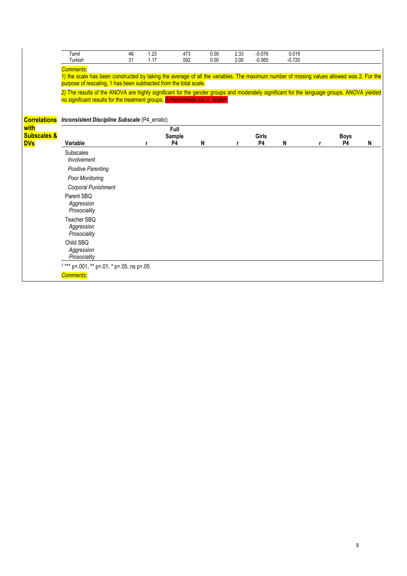|                                | Tamil                                                                                                                                                                                                                       | 46 | 1.23 | .473           | 0.00 | 2.33 | $-0.076$     | 0.019    |             |   |
|--------------------------------|-----------------------------------------------------------------------------------------------------------------------------------------------------------------------------------------------------------------------------|----|------|----------------|------|------|--------------|----------|-------------|---|
|                                | Turkish                                                                                                                                                                                                                     | 31 | 1.17 | .592           | 0.00 | 2.00 | $-0.565$     | $-0.720$ |             |   |
|                                | <b>Comments:</b>                                                                                                                                                                                                            |    |      |                |      |      |              |          |             |   |
|                                | 1) the scale has been constructed by taking the average of all the variables. The maximum number of missing values allowed was 2. For the<br>purpose of rescaling, 1 has been subtracted from the total scale.              |    |      |                |      |      |              |          |             |   |
|                                | 2) The results of the ANOVA are highly significant for the gender groups and moderately significant for the language groups. ANOVA yielded<br>no significant results for the treatment groups. (Unterschiede zur 2. Welle!) |    |      |                |      |      |              |          |             |   |
| <b>Correlations</b>            | <b>Inconsistent Discipline Subscale (P4_erratic)</b>                                                                                                                                                                        |    |      |                |      |      |              |          |             |   |
| with<br><b>Subscales &amp;</b> |                                                                                                                                                                                                                             |    |      | Full<br>Sample |      |      | <b>Girls</b> |          | <b>Boys</b> |   |
| <b>DVs</b>                     | Variable                                                                                                                                                                                                                    |    | r    | <b>P4</b>      | N    | r    | <b>P4</b>    | N        | <b>P4</b>   | N |
|                                | Subscales<br>Involvement                                                                                                                                                                                                    |    |      |                |      |      |              |          |             |   |
|                                | <b>Positive Parenting</b>                                                                                                                                                                                                   |    |      |                |      |      |              |          |             |   |
|                                | Poor Monitoring                                                                                                                                                                                                             |    |      |                |      |      |              |          |             |   |
|                                | Corporal Punishment                                                                                                                                                                                                         |    |      |                |      |      |              |          |             |   |
|                                | Parent SBQ<br>Aggression<br>Prosociality                                                                                                                                                                                    |    |      |                |      |      |              |          |             |   |
|                                | Teacher SBO<br>Aggression<br>Prosociality                                                                                                                                                                                   |    |      |                |      |      |              |          |             |   |
|                                | Child SBO<br>Aggression<br>Prosociality                                                                                                                                                                                     |    |      |                |      |      |              |          |             |   |
|                                | $1***$ p<.001, ** p<.01, * p<.05, ns p>.05                                                                                                                                                                                  |    |      |                |      |      |              |          |             |   |
|                                | <b>Comments:</b>                                                                                                                                                                                                            |    |      |                |      |      |              |          |             |   |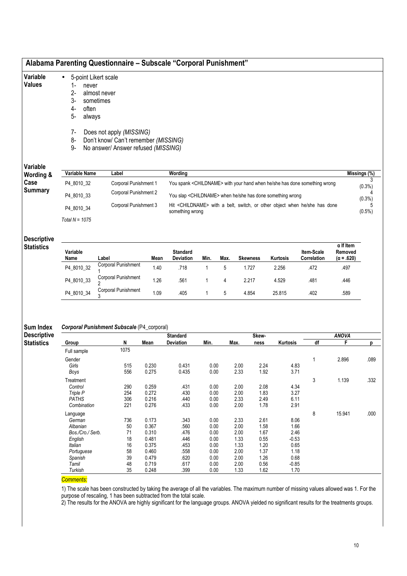| Variable      | $\bullet$ | 5-point Likert scale                 |
|---------------|-----------|--------------------------------------|
| <b>Values</b> | l –       | never                                |
|               | 2-        | almost never                         |
|               | 3-        | sometimes                            |
|               | 4-        | often                                |
|               | 5-        | always                               |
|               | 7-        | Does not apply (MISSING)             |
|               | 8-        | Don't know/ Can't remember (MISSING) |
|               | 9-        | No answer/ Answer refused (MISSING)  |

| Wording &      | Variable Name    | Label                 | Wordina                                                                                                   | Missings (%) |
|----------------|------------------|-----------------------|-----------------------------------------------------------------------------------------------------------|--------------|
| Case           | P4 8010 32       | Corporal Punishment 1 | You spank <childname> with your hand when he/she has done something wrong</childname>                     | $(0.3\%)$    |
| <b>Summary</b> | P4 8010 33       | Corporal Punishment 2 | You slap <childname> when he/she has done something wrong</childname>                                     | (0.3%        |
|                | P4 8010 34       | Corporal Punishment 3 | Hit <childname> with a belt, switch, or other object when he/she has done<br/>something wrong</childname> | $(0.5\%)$    |
|                | Total N = $1075$ |                       |                                                                                                           |              |

#### **Descriptive**

| Variable<br>Name | Label               | Mean | <b>Standard</b><br><b>Deviation</b> | Min. | Max. | <b>Skewness</b> | <b>Kurtosis</b> | <b>Item-Scale</b><br>Correlation | $\alpha$ If Item<br>Removed<br>$(\alpha = .620)$ |
|------------------|---------------------|------|-------------------------------------|------|------|-----------------|-----------------|----------------------------------|--------------------------------------------------|
| P4_8010_32       | Corporal Punishment | 1.40 | .718                                |      |      | 1.727           | 2.256           | .472                             | .497                                             |
| P4_8010_33       | Corporal Punishment | 1.26 | .561                                |      |      | 2.217           | 4.529           | .481                             | .446                                             |
| P4_8010_34       | Corporal Punishment | 1.09 | .405                                |      |      | 4.854           | 25.815          | .402                             | .589                                             |

#### Sum Index Corporal Punishment Subscale (P4\_corporal)

Descriptive **Statistics** 

#### Standard Standard Skew- Skew- ANOVA Group N Mean Deviation Min. Max. ness Kurtosis df F p Full sample 1075 Gender 1 2.896 .089 Girls 515 0.230 0.431 0.00 2.00 2.24 4.83 Boys 556 0.275 0.435 0.00 2.33 1.92 3.71 Treatment 3 1.139 .332 Control 290 0.259 .431 0.00 2.00 2.08 4.34 Triple P 254 0.272 .430 0.00 2.00 1.83 3.27 PATHS 306 0.216 .440 0.00 2.33 2.49 6.11 Combination 221 0.276 .433 0.00 2.00 1.78 2.91 Language 8 15.941 .000 German 736 0.173 .343 0.00 2.33 2.61 8.06 Albanian 50 0.367 .560 0.00 2.00 1.58 1.66 English March 2000 1.67 2.46<br>
English 18 0.481 1446 0.00 1.33 0.55 -0.53 English 18 0.481 .446 0.00 1.33 0.55 -0.53 Italian 16 0.375 .453 0.00 1.33 1.20 0.65 Portuguese 58 0.460 .558 0.00 2.00 1.37 1.18 Spanish 39 0.479 .620 0.00 2.00 1.26 0.68 Tamil 48 0.719 .617 0.00 2.00 0.56 -0.85 Turkish 35 0.248 .399 0.00 1.33 1.62 1.70

#### Comments:

1) The scale has been constructed by taking the average of all the variables. The maximum number of missing values allowed was 1. For the purpose of rescaling, 1 has been subtracted from the total scale.

2) The results for the ANOVA are highly significant for the language groups. ANOVA yielded no significant results for the treatments groups.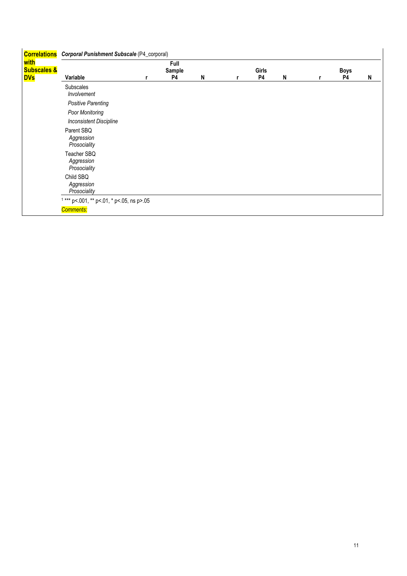|                                              | <b>Correlations</b> Corporal Punishment Subscale (P4_corporal) |                                  |   |   |                    |   |                   |   |
|----------------------------------------------|----------------------------------------------------------------|----------------------------------|---|---|--------------------|---|-------------------|---|
| with<br><b>Subscales &amp;</b><br><b>DVs</b> | Variable                                                       | Full<br>Sample<br>P <sub>4</sub> | N | r | Girls<br><b>P4</b> | N | <b>Boys</b><br>P4 | N |
|                                              | <b>Subscales</b><br>Involvement                                |                                  |   |   |                    |   |                   |   |
|                                              | <b>Positive Parenting</b>                                      |                                  |   |   |                    |   |                   |   |
|                                              | Poor Monitoring                                                |                                  |   |   |                    |   |                   |   |
|                                              | <b>Inconsistent Discipline</b>                                 |                                  |   |   |                    |   |                   |   |
|                                              | Parent SBQ<br>Aggression<br>Prosociality                       |                                  |   |   |                    |   |                   |   |
|                                              | Teacher SBQ<br>Aggression<br>Prosociality                      |                                  |   |   |                    |   |                   |   |
|                                              | Child SBQ<br>Aggression<br>Prosociality                        |                                  |   |   |                    |   |                   |   |
|                                              | $1***$ p<.001, ** p<.01, * p<.05, ns p>.05                     |                                  |   |   |                    |   |                   |   |
|                                              | <b>Comments:</b>                                               |                                  |   |   |                    |   |                   |   |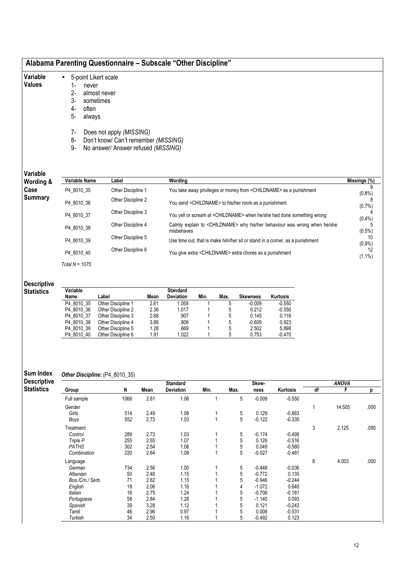| Variable                                | 5-point Likert scale<br>$\bullet$ |                                          |              |                  |                  |        |                                                                     |                                                                                       |              |              |                 |
|-----------------------------------------|-----------------------------------|------------------------------------------|--------------|------------------|------------------|--------|---------------------------------------------------------------------|---------------------------------------------------------------------------------------|--------------|--------------|-----------------|
| <b>Values</b>                           | 1-<br>never                       |                                          |              |                  |                  |        |                                                                     |                                                                                       |              |              |                 |
|                                         | $2 -$                             | almost never                             |              |                  |                  |        |                                                                     |                                                                                       |              |              |                 |
|                                         | 3-<br>sometimes                   |                                          |              |                  |                  |        |                                                                     |                                                                                       |              |              |                 |
|                                         | 4-<br>often                       |                                          |              |                  |                  |        |                                                                     |                                                                                       |              |              |                 |
|                                         | 5-<br>always                      |                                          |              |                  |                  |        |                                                                     |                                                                                       |              |              |                 |
|                                         | $7-$                              | Does not apply (MISSING)                 |              |                  |                  |        |                                                                     |                                                                                       |              |              |                 |
|                                         | 8-                                | Don't know/ Can't remember (MISSING)     |              |                  |                  |        |                                                                     |                                                                                       |              |              |                 |
|                                         | 9-                                | No answer/ Answer refused (MISSING)      |              |                  |                  |        |                                                                     |                                                                                       |              |              |                 |
|                                         |                                   |                                          |              |                  |                  |        |                                                                     |                                                                                       |              |              |                 |
| Variable                                |                                   |                                          |              |                  |                  |        |                                                                     |                                                                                       |              |              |                 |
| Wording &                               | Variable Name                     | Label                                    |              | <b>Wording</b>   |                  |        |                                                                     |                                                                                       |              |              | Missings (%)    |
| Case                                    | P4_8010_35                        | Other Discipline 1                       |              |                  |                  |        |                                                                     | You take away privileges or money from <childname> as a punishment</childname>        |              |              | 9<br>(0.8% )    |
| <b>Summary</b>                          | P4_8010_36                        | Other Discipline 2                       |              |                  |                  |        | You send <childname> to his/her room as a punishment</childname>    |                                                                                       |              |              | 8<br>(0.7%      |
|                                         | P4_8010_37                        | Other Discipline 3                       |              |                  |                  |        |                                                                     | You yell or scream at <childname> when he/she had done something wrong</childname>    |              |              | (0.4% )         |
|                                         | P4_8010_38                        | Other Discipline 4                       |              | misbehaves       |                  |        |                                                                     | Calmly explain to <childname> why his/her behaviour was wrong when he/she</childname> |              |              | 5<br>$(0.5\%)$  |
|                                         | P4_8010_39                        | Other Discipline 5                       |              |                  |                  |        |                                                                     | Use time out, that is make him/her sit or stand in a corner, as a punishment          |              |              | 10<br>$(0.9\%)$ |
|                                         | P4_8010_40                        | Other Discipline 6                       |              |                  |                  |        | You give extra <childname> extra chores as a punishment</childname> |                                                                                       |              |              | 12<br>$(1.1\%)$ |
|                                         | Total $N = 1075$                  |                                          |              |                  |                  |        |                                                                     |                                                                                       |              |              |                 |
|                                         |                                   |                                          |              |                  |                  |        |                                                                     |                                                                                       |              |              |                 |
| <b>Descriptive</b><br><b>Statistics</b> | Variable                          |                                          |              | <b>Standard</b>  |                  |        |                                                                     |                                                                                       |              |              |                 |
|                                         | Name                              | Label                                    | Mean         | <b>Deviation</b> | Min.             | Max.   | <b>Skewness</b>                                                     | Kurtosis                                                                              |              |              |                 |
|                                         | P4_8010_35                        | Other Discipline 1                       | 2.61         | 1.058            |                  | 5      | $-0.009$                                                            | $-0.550$                                                                              |              |              |                 |
|                                         | P4_8010_36                        | Other Discipline 2                       | 2.36         | 1.017            |                  | 5      | 0.212                                                               | $-0.550$                                                                              |              |              |                 |
|                                         | P4_8010_37                        | Other Discipline 3                       | 2.68         | .907             |                  | 5      | 0.145                                                               | 0.116                                                                                 |              |              |                 |
|                                         | P4_8010_38                        | Other Discipline 4                       | 3.88         | .808             |                  | 5      | $-0.609$                                                            | 0.923                                                                                 |              |              |                 |
|                                         | P4_8010_39<br>P4_8010_40          | Other Discipline 5<br>Other Discipline 6 | 1.28<br>1.91 | .669<br>1.022    |                  | 5<br>5 | 2.502<br>0.753                                                      | 5.898<br>$-0.470$                                                                     |              |              |                 |
|                                         |                                   |                                          |              |                  |                  |        |                                                                     |                                                                                       |              |              |                 |
| Sum Index<br><b>Descriptive</b>         |                                   | Other Discipline: (P4_8010_35)           |              | <b>Standard</b>  |                  |        | Skew-                                                               |                                                                                       |              | <b>ANOVA</b> |                 |
| <b>Statistics</b>                       | Group                             | N                                        | Mean         | Deviation        | Min.             | Max.   | ness                                                                | Kurtosis                                                                              | df           | F.           | p               |
|                                         | Full sample                       | 1066                                     | 2.61         | 1.06             | $\mathbf{1}$     |        | 5<br>$-0.009$                                                       | $-0.550$                                                                              |              |              |                 |
|                                         | Gender                            |                                          |              |                  |                  |        |                                                                     |                                                                                       | $\mathbf{1}$ | 14.505       | .000            |
|                                         | Girls                             | 514                                      | 2.49         | 1.08             | 1                | 5      | 0.129                                                               | $-0.663$                                                                              |              |              |                 |
|                                         | Boys                              | 552                                      | 2.73         | 1.03             | $\mathbf{1}$     | 5      | $-0.122$                                                            | $-0.335$                                                                              |              |              |                 |
|                                         | Treatment                         |                                          |              |                  |                  |        |                                                                     |                                                                                       | 3            | 2.125        | .095            |
|                                         | Control                           | 289                                      | 2.73         | 1.03             | 1                | 5      | $-0.174$                                                            | $-0.499$                                                                              |              |              |                 |
|                                         | Triple P                          | 255                                      | 2.55         | 1.07             | 1                | 5      | 0.126                                                               | $-0.516$                                                                              |              |              |                 |
|                                         | <b>PATHS</b>                      | 302                                      | 2.54         | 1.06             | 1                | 5      | 0.049                                                               | $-0.560$                                                                              |              |              |                 |
|                                         | Combination                       | 220                                      | 2.64         | 1.08             | 1                |        | 5<br>$-0.027$                                                       | $-0.481$                                                                              |              |              |                 |
|                                         | Language                          |                                          |              |                  |                  |        |                                                                     |                                                                                       | 8            | 4.003        | .000            |
|                                         | German                            | 734                                      | 2.56         | 1.00             | 1                | 5      | $-0.448$                                                            | $-0.036$                                                                              |              |              |                 |
|                                         |                                   |                                          | 2.48         | 1.15             | 1                |        | 5<br>$-0.772$                                                       | 0.135                                                                                 |              |              |                 |
|                                         | Albanian                          | 50                                       |              |                  |                  |        |                                                                     |                                                                                       |              |              |                 |
|                                         | Bos./Cro./ Serb.<br>English       | 71<br>18                                 | 2.62<br>2.06 | 1.15<br>1.16     | 1<br>$\mathbf 1$ | 5<br>4 | $-0.946$<br>$-1.072$                                                | $-0.244$<br>0.640                                                                     |              |              |                 |

Italian 16 2.75 1.24 1 5 -0.708 -0.181 Portuguese 58 2.84 1.28 1 5 -1.140 0.093 Spanish 39 3.28 1.12 1 5 0.121 -0.243 Tamil 46 2.96 0.97 1 5 0.008 -0.531 Turkish 34 2.50 1.16 1 5 -0.492 0.123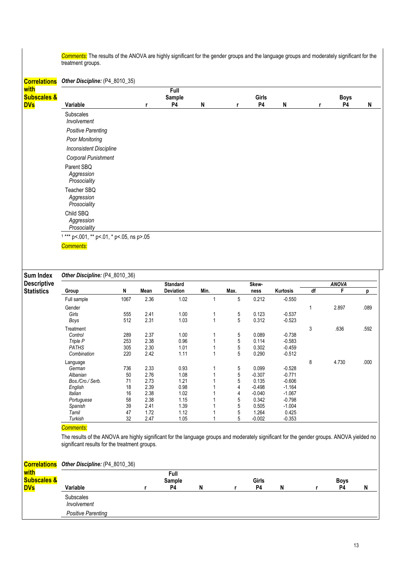Comments: The results of the ANOVA are highly significant for the gender groups and the language groups and moderately significant for the treatment groups.

#### Correlations Other Discipline: (P4\_8010\_35)

| <u>.</u>                             |                                            |                 |   |   |                    |   |   |                   |   |
|--------------------------------------|--------------------------------------------|-----------------|---|---|--------------------|---|---|-------------------|---|
| with                                 |                                            | Full            |   |   |                    |   |   |                   |   |
| <b>Subscales &amp;</b><br><b>DVs</b> | Variable                                   | Sample<br>P4    | N | r | Girls<br><b>P4</b> | N | r | <b>Boys</b><br>P4 | N |
|                                      | Subscales<br>Involvement                   |                 |   |   |                    |   |   |                   |   |
|                                      | <b>Positive Parenting</b>                  |                 |   |   |                    |   |   |                   |   |
|                                      | Poor Monitoring                            |                 |   |   |                    |   |   |                   |   |
|                                      | <b>Inconsistent Discipline</b>             |                 |   |   |                    |   |   |                   |   |
|                                      | Corporal Punishment                        |                 |   |   |                    |   |   |                   |   |
|                                      | Parent SBQ<br>Aggression<br>Prosociality   |                 |   |   |                    |   |   |                   |   |
|                                      | Teacher SBQ<br>Aggression<br>Prosociality  |                 |   |   |                    |   |   |                   |   |
|                                      | Child SBQ<br>Aggression<br>Prosociality    |                 |   |   |                    |   |   |                   |   |
|                                      | $1***$ p<.001, ** p<.01, * p<.05, ns p>.05 |                 |   |   |                    |   |   |                   |   |
|                                      | <b>Comments:</b>                           |                 |   |   |                    |   |   |                   |   |
|                                      |                                            |                 |   |   |                    |   |   |                   |   |
| Sum Index                            | Other Discipline: (P4_8010_36)             |                 |   |   |                    |   |   |                   |   |
| <b>Descriptive</b>                   |                                            | <b>Standard</b> |   |   | Skow-              |   |   | <b>ANOVA</b>      |   |

| <b>Descriptive</b> |                  |      |      | <b>Standard</b>  |      |      | Skew-    |          |    | <b>ANOVA</b> |      |
|--------------------|------------------|------|------|------------------|------|------|----------|----------|----|--------------|------|
| <b>Statistics</b>  | Group            | N    | Mean | <b>Deviation</b> | Min. | Max. | ness     | Kurtosis | df | F            | p    |
|                    | Full sample      | 1067 | 2.36 | 1.02             |      | 5    | 0.212    | $-0.550$ |    |              |      |
|                    | Gender           |      |      |                  |      |      |          |          |    | 2.897        | .089 |
|                    | Girls            | 555  | 2.41 | 1.00             |      | 5    | 0.123    | $-0.537$ |    |              |      |
|                    | Boys             | 512  | 2.31 | 1.03             |      | 5    | 0.312    | $-0.523$ |    |              |      |
|                    | Treatment        |      |      |                  |      |      |          |          | 3  | .636         | .592 |
|                    | Control          | 289  | 2.37 | 1.00             |      | 5    | 0.089    | $-0.738$ |    |              |      |
|                    | Triple P         | 253  | 2.38 | 0.96             |      | 5    | 0.114    | $-0.583$ |    |              |      |
|                    | <b>PATHS</b>     | 305  | 2.30 | 1.01             |      | 5    | 0.302    | $-0.459$ |    |              |      |
|                    | Combination      | 220  | 2.42 | 1.11             |      | 5    | 0.290    | $-0.512$ |    |              |      |
|                    | Language         |      |      |                  |      |      |          |          | 8  | 4.730        | .000 |
|                    | German           | 736  | 2.33 | 0.93             |      | 5    | 0.099    | $-0.528$ |    |              |      |
|                    | Albanian         | 50   | 2.76 | 1.08             |      | 5    | $-0.307$ | $-0.771$ |    |              |      |
|                    | Bos./Cro./ Serb. | 71   | 2.73 | 1.21             |      | 5    | 0.135    | $-0.606$ |    |              |      |
|                    | English          | 18   | 2.39 | 0.98             |      | 4    | $-0.498$ | $-1.164$ |    |              |      |
|                    | Italian          | 16   | 2.38 | 1.02             |      | 4    | $-0.040$ | $-1.067$ |    |              |      |
|                    | Portuguese       | 58   | 2.38 | 1.15             |      | 5    | 0.342    | $-0.798$ |    |              |      |
|                    | Spanish          | 39   | 2.41 | 1.39             |      | 5    | 0.505    | $-1.004$ |    |              |      |
|                    | Tamil            | 47   | 1.72 | 1.12             |      | 5    | 1.264    | 0.425    |    |              |      |
|                    | Turkish          | 32   | 2.47 | 1.05             |      | 5    | $-0.002$ | $-0.353$ |    |              |      |

#### Comments:

The results of the ANOVA are highly significant for the language groups and moderately significant for the gender groups. ANOVA yielded no significant results for the treatment groups.

|                                | <b>Correlations</b> Other Discipline: (P4_8010_36) |  |                |  |  |       |   |  |             |   |  |  |
|--------------------------------|----------------------------------------------------|--|----------------|--|--|-------|---|--|-------------|---|--|--|
| with<br><b>Subscales &amp;</b> |                                                    |  | Full<br>Sample |  |  | Girls |   |  | <b>Boys</b> |   |  |  |
| <b>DVs</b>                     | Variable                                           |  | P4             |  |  | P4    | N |  | P4          | N |  |  |
|                                | <b>Subscales</b><br>Involvement                    |  |                |  |  |       |   |  |             |   |  |  |
|                                | Positive Parenting                                 |  |                |  |  |       |   |  |             |   |  |  |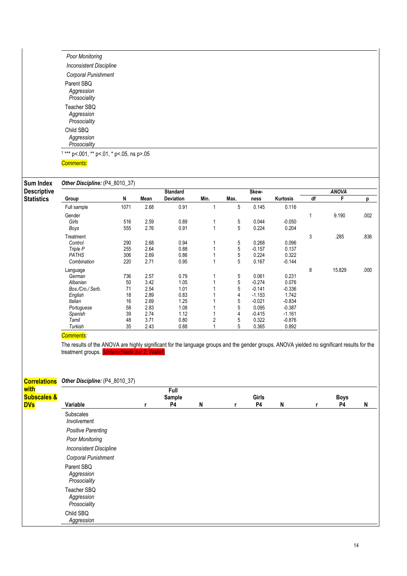| Poor Monitoring                |
|--------------------------------|
| <b>Inconsistent Discipline</b> |
| Corporal Punishment            |
| Parent SBO                     |
| Aggression                     |
| Prosociality                   |
| Teacher SBO                    |
| Aggression                     |
| Prosociality                   |
| Child SBO                      |
| Aggression                     |
| Prosociality                   |

1 \*\*\* p<.001, \*\* p<.01, \* p<.05, ns p>.05

Comments:

## Sum Index

| Sum Index          | Other Discipline: (P4_8010_37) |      |      |                  |                         |      |          |          |    |              |      |
|--------------------|--------------------------------|------|------|------------------|-------------------------|------|----------|----------|----|--------------|------|
| <b>Descriptive</b> |                                |      |      | <b>Standard</b>  |                         |      | Skew-    |          |    | <b>ANOVA</b> |      |
| <b>Statistics</b>  | Group                          | N    | Mean | <b>Deviation</b> | Min.                    | Max. | ness     | Kurtosis | df | F            | p    |
|                    | Full sample                    | 1071 | 2.68 | 0.91             |                         | 5    | 0.145    | 0.116    |    |              |      |
|                    | Gender                         |      |      |                  |                         |      |          |          |    | 9.190        | .002 |
|                    | Girls                          | 516  | 2.59 | 0.89             |                         | 5    | 0.044    | $-0.050$ |    |              |      |
|                    | Boys                           | 555  | 2.76 | 0.91             | $\overline{\mathbf{A}}$ | 5    | 0.224    | 0.204    |    |              |      |
|                    | Treatment                      |      |      |                  |                         |      |          |          | 3  | .285         | .836 |
|                    | Control                        | 290  | 2.68 | 0.94             |                         | 5    | 0.268    | 0.096    |    |              |      |
|                    | Triple P                       | 255  | 2.64 | 0.88             |                         | 5    | $-0.157$ | 0.137    |    |              |      |
|                    | <b>PATHS</b>                   | 306  | 2.69 | 0.86             |                         | 5    | 0.224    | 0.322    |    |              |      |
|                    | Combination                    | 220  | 2.71 | 0.95             |                         | 5    | 0.167    | $-0.144$ |    |              |      |
|                    | Language                       |      |      |                  |                         |      |          |          | 8  | 15.829       | .000 |
|                    | German                         | 736  | 2.57 | 0.79             |                         | 5    | 0.061    | 0.231    |    |              |      |
|                    | Albanian                       | 50   | 3.42 | 1.05             |                         | 5    | $-0.274$ | 0.076    |    |              |      |
|                    | Bos./Cro./ Serb.               | 71   | 2.54 | 1.01             |                         | 5    | $-0.141$ | $-0.336$ |    |              |      |
|                    | English                        | 18   | 2.89 | 0.83             |                         | 4    | $-1.153$ | 1.742    |    |              |      |
|                    | <b>Italian</b>                 | 16   | 2.69 | 1.25             |                         | 5    | $-0.021$ | $-0.834$ |    |              |      |
|                    | Portuguese                     | 58   | 2.83 | 1.08             |                         | 5    | 0.095    | $-0.387$ |    |              |      |
|                    | Spanish                        | 39   | 2.74 | 1.12             |                         | 4    | $-0.415$ | $-1.161$ |    |              |      |
|                    | Tamil                          | 48   | 3.71 | 0.80             | 2                       | 5    | 0.322    | $-0.876$ |    |              |      |
|                    | Turkish                        | 35   | 2.43 | 0.88             |                         | 5    | 0.365    | 0.892    |    |              |      |

## Comments:

The results of the ANOVA are highly significant for the language groups and the gender groups. ANOVA yielded no significant results for the treatment groups. (Unterschiede zur 2. Welle

#### Correlations Other Discipline: (P4\_8010\_37)

| with<br><b>Subscales &amp;</b> |                                           |   | Full<br>Sample |   |   | Girls |   | <b>Boys</b> |   |
|--------------------------------|-------------------------------------------|---|----------------|---|---|-------|---|-------------|---|
| <b>DVs</b>                     | Variable                                  | r | P4             | N | r | P4    | N | P4          | N |
|                                | Subscales<br>Involvement                  |   |                |   |   |       |   |             |   |
|                                | <b>Positive Parenting</b>                 |   |                |   |   |       |   |             |   |
|                                | Poor Monitoring                           |   |                |   |   |       |   |             |   |
|                                | <b>Inconsistent Discipline</b>            |   |                |   |   |       |   |             |   |
|                                | Corporal Punishment                       |   |                |   |   |       |   |             |   |
|                                | Parent SBQ<br>Aggression<br>Prosociality  |   |                |   |   |       |   |             |   |
|                                | Teacher SBQ<br>Aggression<br>Prosociality |   |                |   |   |       |   |             |   |
|                                | Child SBQ<br>Aggression                   |   |                |   |   |       |   |             |   |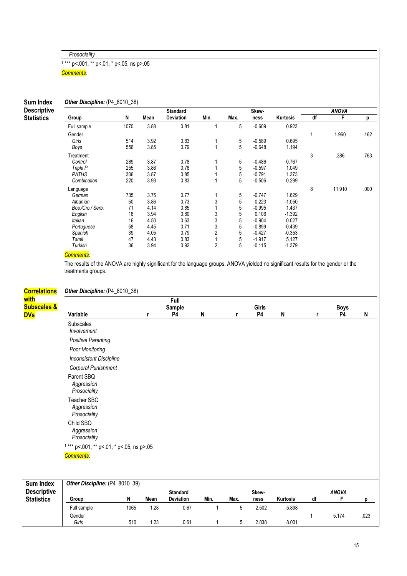Prosociality

1 \*\*\* p<.001, \*\* p<.01, \* p<.05, ns p>.05

Comments:

| <b>Sum Index</b>            | Other Discipline: (P4_8010_38)                                                                                                                                         |            |              |                 |                   |                                  |                      |                |              |              |      |  |  |  |  |  |  |  |  |  |
|-----------------------------|------------------------------------------------------------------------------------------------------------------------------------------------------------------------|------------|--------------|-----------------|-------------------|----------------------------------|----------------------|----------------|--------------|--------------|------|--|--|--|--|--|--|--|--|--|
| <b>Descriptive</b>          |                                                                                                                                                                        |            |              | <b>Standard</b> |                   |                                  | Skew-                |                |              | <b>ANOVA</b> |      |  |  |  |  |  |  |  |  |  |
| <b>Statistics</b>           | Group                                                                                                                                                                  | N          | Mean         | Deviation       | Min.              | Max.                             | ness                 | Kurtosis       | df           | F            | p    |  |  |  |  |  |  |  |  |  |
|                             | Full sample                                                                                                                                                            | 1070       | 3.88         | 0.81            | $\mathbf{1}$      | $\mathbf 5$                      | $-0.609$             | 0.923          |              |              |      |  |  |  |  |  |  |  |  |  |
|                             | Gender                                                                                                                                                                 |            |              |                 |                   |                                  |                      |                | $\mathbf{1}$ | 1.960        | .162 |  |  |  |  |  |  |  |  |  |
|                             | Girls                                                                                                                                                                  | 514        | 3.92         | 0.83            | 1                 | 5                                | $-0.589$             | 0.695          |              |              |      |  |  |  |  |  |  |  |  |  |
|                             | Boys                                                                                                                                                                   | 556        | 3.85         | 0.79            | $\mathbf{1}$      | $\overline{5}$                   | $-0.648$             | 1.194          |              |              |      |  |  |  |  |  |  |  |  |  |
|                             | Treatment                                                                                                                                                              |            |              |                 |                   |                                  |                      |                | 3            | .386         | .763 |  |  |  |  |  |  |  |  |  |
|                             | Control<br>Triple P                                                                                                                                                    | 289<br>255 | 3.87<br>3.86 | 0.78<br>0.78    | 1<br>$\mathbf{1}$ | $\overline{5}$<br>$\overline{5}$ | $-0.486$<br>$-0.597$ | 0.767<br>1.049 |              |              |      |  |  |  |  |  |  |  |  |  |
|                             | <b>PATHS</b>                                                                                                                                                           | 306        | 3.87         | 0.85            | $\mathbf{1}$      | $\mathbf 5$                      | $-0.791$             | 1.373          |              |              |      |  |  |  |  |  |  |  |  |  |
|                             | Combination                                                                                                                                                            | 220        | 3.93         | 0.83            | $\mathbf{1}$      | 5                                | $-0.506$             | 0.299          |              |              |      |  |  |  |  |  |  |  |  |  |
|                             | Language                                                                                                                                                               |            |              |                 |                   |                                  |                      |                | 8            | 11.910       | .000 |  |  |  |  |  |  |  |  |  |
|                             | German                                                                                                                                                                 | 735        | 3.75         | 0.77            | $\mathbf{1}$      | $\overline{5}$                   | $-0.747$             | 1.629          |              |              |      |  |  |  |  |  |  |  |  |  |
|                             | Albanian                                                                                                                                                               | 50         | 3.86         | 0.73            | 3                 | 5                                | 0.223                | $-1.050$       |              |              |      |  |  |  |  |  |  |  |  |  |
|                             | Bos./Cro./ Serb.                                                                                                                                                       | 71         | 4.14         | 0.85            | $\mathbf{1}$      | 5                                | $-0.995$             | 1.437          |              |              |      |  |  |  |  |  |  |  |  |  |
|                             | English                                                                                                                                                                | 18         | 3.94         | 0.80            | 3                 | 5                                | 0.106                | $-1.392$       |              |              |      |  |  |  |  |  |  |  |  |  |
|                             | Italian                                                                                                                                                                | 16         | 4.50         | 0.63            | 3                 | 5                                | $-0.904$             | 0.027          |              |              |      |  |  |  |  |  |  |  |  |  |
|                             | Portuguese                                                                                                                                                             | 58         | 4.45         | 0.71            | $\mathsf 3$       | 5                                | $-0.899$             | $-0.439$       |              |              |      |  |  |  |  |  |  |  |  |  |
|                             | Spanish                                                                                                                                                                | 39         | 4.05         | 0.79            | $\sqrt{2}$        | $\sqrt{5}$                       | $-0.427$             | $-0.353$       |              |              |      |  |  |  |  |  |  |  |  |  |
|                             | Tamil<br>Turkish                                                                                                                                                       | 47<br>36   | 4.43<br>3.94 | 0.83            | $\mathbf{1}$      | 5<br>5                           | $-1.917$             | 5.127          |              |              |      |  |  |  |  |  |  |  |  |  |
|                             | Comments:<br>The results of the ANOVA are highly significant for the language groups. ANOVA yielded no significant results for the gender or the<br>treatments groups. |            |              | 0.92            | $\overline{2}$    |                                  | $-0.115$             | $-1.379$       |              |              |      |  |  |  |  |  |  |  |  |  |
| <b>Correlations</b><br>with | Other Discipline: (P4_8010_38)                                                                                                                                         |            |              | Full            |                   |                                  |                      |                |              |              |      |  |  |  |  |  |  |  |  |  |
| <b>Subscales &amp;</b>      |                                                                                                                                                                        |            |              | Sample          |                   |                                  | Girls                |                |              | <b>Boys</b>  |      |  |  |  |  |  |  |  |  |  |
| <b>DVs</b>                  | Variable                                                                                                                                                               |            | r            | P4              | N                 | r                                | P4                   | N              | r            | P4           | N    |  |  |  |  |  |  |  |  |  |
|                             | <b>Subscales</b><br>Involvement                                                                                                                                        |            |              |                 |                   |                                  |                      |                |              |              |      |  |  |  |  |  |  |  |  |  |
|                             |                                                                                                                                                                        |            |              |                 |                   |                                  |                      |                |              |              |      |  |  |  |  |  |  |  |  |  |
|                             | <b>Positive Parenting</b>                                                                                                                                              |            |              |                 |                   |                                  |                      |                |              |              |      |  |  |  |  |  |  |  |  |  |
|                             | Poor Monitoring                                                                                                                                                        |            |              |                 |                   |                                  |                      |                |              |              |      |  |  |  |  |  |  |  |  |  |
|                             | <b>Inconsistent Discipline</b>                                                                                                                                         |            |              |                 |                   |                                  |                      |                |              |              |      |  |  |  |  |  |  |  |  |  |
|                             | Corporal Punishment                                                                                                                                                    |            |              |                 |                   |                                  |                      |                |              |              |      |  |  |  |  |  |  |  |  |  |
|                             | Parent SBQ                                                                                                                                                             |            |              |                 |                   |                                  |                      |                |              |              |      |  |  |  |  |  |  |  |  |  |
|                             | Aggression                                                                                                                                                             |            |              |                 |                   |                                  |                      |                |              |              |      |  |  |  |  |  |  |  |  |  |
|                             | Prosociality                                                                                                                                                           |            |              |                 |                   |                                  |                      |                |              |              |      |  |  |  |  |  |  |  |  |  |
|                             | Teacher SBQ                                                                                                                                                            |            |              |                 |                   |                                  |                      |                |              |              |      |  |  |  |  |  |  |  |  |  |
|                             | Aggression                                                                                                                                                             |            |              |                 |                   |                                  |                      |                |              |              |      |  |  |  |  |  |  |  |  |  |
|                             | Prosociality                                                                                                                                                           |            |              |                 |                   |                                  |                      |                |              |              |      |  |  |  |  |  |  |  |  |  |
|                             | Child SBQ                                                                                                                                                              |            |              |                 |                   |                                  |                      |                |              |              |      |  |  |  |  |  |  |  |  |  |

1 \*\*\* p<.001, \*\* p<.01, \* p<.05, ns p>.05

Comments:

Prosociality

| Sum Index          | Other Discipline: (P4 8010 39) |      |      |                  |      |      |       |                 |    |              |      |
|--------------------|--------------------------------|------|------|------------------|------|------|-------|-----------------|----|--------------|------|
| <b>Descriptive</b> |                                |      |      | <b>Standard</b>  |      |      | Skew- |                 |    | <b>ANOVA</b> |      |
| <b>Statistics</b>  | Group                          | N    | Mean | <b>Deviation</b> | Min. | Max. | ness  | <b>Kurtosis</b> | df |              |      |
|                    | Full sample                    | 1065 | 1.28 | 0.67             |      |      | 2.502 | 5.898           |    |              |      |
|                    | Gender<br>Girls                | 510  | 1.23 | 0.61             |      |      | 2.838 | 8.001           |    | 5.174        | .023 |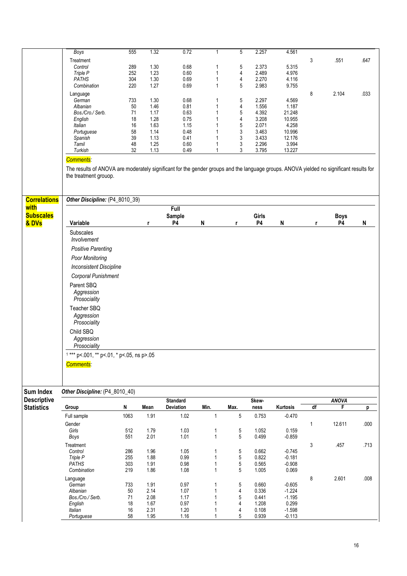|                     | <b>Boys</b>                                                                                                                                                      | 555      | 1.32         | 0.72            | $\mathbf{1}$      | 5          | 2.257          | 4.561                |    |                    |      |
|---------------------|------------------------------------------------------------------------------------------------------------------------------------------------------------------|----------|--------------|-----------------|-------------------|------------|----------------|----------------------|----|--------------------|------|
|                     | Treatment                                                                                                                                                        |          |              |                 |                   |            |                |                      | 3  | .551               | .647 |
|                     | Control                                                                                                                                                          | 289      | 1.30         | 0.68            | 1                 | 5          | 2.373          | 5.315                |    |                    |      |
|                     | Triple P                                                                                                                                                         | 252      | 1.23         | 0.60            | 1                 | 4          | 2.489          | 4.976                |    |                    |      |
|                     | <b>PATHS</b>                                                                                                                                                     | 304      | 1.30         | 0.69            | 1                 | 4          | 2.270          | 4.116                |    |                    |      |
|                     | Combination                                                                                                                                                      | 220      | 1.27         | 0.69            | 1                 | 5          | 2.983          | 9.755                |    |                    |      |
|                     |                                                                                                                                                                  |          |              |                 |                   |            |                |                      |    |                    |      |
|                     | Language                                                                                                                                                         |          |              |                 |                   |            |                |                      | 8  | 2.104              | .033 |
|                     | German                                                                                                                                                           | 733      | 1.30         | 0.68            |                   | 5          | 2.297          | 4.569                |    |                    |      |
|                     | Albanian                                                                                                                                                         | 50       | 1.46         | 0.81            | 1                 | 4          | 1.556          | 1.187                |    |                    |      |
|                     | Bos./Cro./ Serb.                                                                                                                                                 | 71       | 1.17         | 0.63            | 1                 | 5          | 4.392          | 21.248               |    |                    |      |
|                     | English                                                                                                                                                          | 18       | 1.28         | 0.75            | 1                 | 4          | 3.208          | 10.955               |    |                    |      |
|                     | Italian                                                                                                                                                          | 16       | 1.63         | 1.15            | 1                 | 5          | 2.071          | 4.258                |    |                    |      |
|                     | Portuguese                                                                                                                                                       | 58       | 1.14         | 0.48            | 1                 | $\sqrt{3}$ | 3.463          | 10.996               |    |                    |      |
|                     | Spanish                                                                                                                                                          | 39       | 1.13         | 0.41            | 1                 | 3          | 3.433          | 12.176               |    |                    |      |
|                     | Tamil                                                                                                                                                            | 48       | 1.25         | 0.60            | 1                 | 3          | 2.296          | 3.994                |    |                    |      |
|                     | Turkish                                                                                                                                                          | 32       | 1.13         | 0.49            | 1                 | 3          | 3.795          | 13.227               |    |                    |      |
|                     | <b>Comments:</b>                                                                                                                                                 |          |              |                 |                   |            |                |                      |    |                    |      |
|                     | The results of ANOVA are moderately significant for the gender groups and the language groups. ANOVA yielded no significant results for<br>the treatment grouop. |          |              |                 |                   |            |                |                      |    |                    |      |
| <b>Correlations</b> | Other Discipline: (P4_8010_39)                                                                                                                                   |          |              |                 |                   |            |                |                      |    |                    |      |
| with                |                                                                                                                                                                  |          |              | Full            |                   |            |                |                      |    |                    |      |
| <b>Subscales</b>    |                                                                                                                                                                  |          |              | <b>Sample</b>   |                   |            | Girls          |                      |    | <b>Boys</b>        |      |
| & DVs               | Variable                                                                                                                                                         |          | r            | P4              | N                 | r          | P4             | N                    | r  | P4                 | N    |
|                     | Subscales                                                                                                                                                        |          |              |                 |                   |            |                |                      |    |                    |      |
|                     | Involvement                                                                                                                                                      |          |              |                 |                   |            |                |                      |    |                    |      |
|                     |                                                                                                                                                                  |          |              |                 |                   |            |                |                      |    |                    |      |
|                     | <b>Positive Parenting</b>                                                                                                                                        |          |              |                 |                   |            |                |                      |    |                    |      |
|                     | Poor Monitoring                                                                                                                                                  |          |              |                 |                   |            |                |                      |    |                    |      |
|                     |                                                                                                                                                                  |          |              |                 |                   |            |                |                      |    |                    |      |
|                     | <b>Inconsistent Discipline</b>                                                                                                                                   |          |              |                 |                   |            |                |                      |    |                    |      |
|                     | Corporal Punishment                                                                                                                                              |          |              |                 |                   |            |                |                      |    |                    |      |
|                     | Parent SBQ                                                                                                                                                       |          |              |                 |                   |            |                |                      |    |                    |      |
|                     |                                                                                                                                                                  |          |              |                 |                   |            |                |                      |    |                    |      |
|                     | Aggression                                                                                                                                                       |          |              |                 |                   |            |                |                      |    |                    |      |
|                     | Prosociality                                                                                                                                                     |          |              |                 |                   |            |                |                      |    |                    |      |
|                     | Teacher SBQ                                                                                                                                                      |          |              |                 |                   |            |                |                      |    |                    |      |
|                     | Aggression                                                                                                                                                       |          |              |                 |                   |            |                |                      |    |                    |      |
|                     |                                                                                                                                                                  |          |              |                 |                   |            |                |                      |    |                    |      |
|                     |                                                                                                                                                                  |          |              |                 |                   |            |                |                      |    |                    |      |
|                     | Prosociality                                                                                                                                                     |          |              |                 |                   |            |                |                      |    |                    |      |
|                     | Child SBQ                                                                                                                                                        |          |              |                 |                   |            |                |                      |    |                    |      |
|                     |                                                                                                                                                                  |          |              |                 |                   |            |                |                      |    |                    |      |
|                     | Aggression                                                                                                                                                       |          |              |                 |                   |            |                |                      |    |                    |      |
|                     | Prosociality                                                                                                                                                     |          |              |                 |                   |            |                |                      |    |                    |      |
|                     | $1***$ p<.001, ** p<.01, * p<.05, ns p>.05                                                                                                                       |          |              |                 |                   |            |                |                      |    |                    |      |
|                     |                                                                                                                                                                  |          |              |                 |                   |            |                |                      |    |                    |      |
|                     | <b>Comments:</b>                                                                                                                                                 |          |              |                 |                   |            |                |                      |    |                    |      |
|                     |                                                                                                                                                                  |          |              |                 |                   |            |                |                      |    |                    |      |
|                     |                                                                                                                                                                  |          |              |                 |                   |            |                |                      |    |                    |      |
| Sum Index           | Other Discipline: (P4_8010_40)                                                                                                                                   |          |              |                 |                   |            |                |                      |    |                    |      |
| <b>Descriptive</b>  |                                                                                                                                                                  | N        |              | <b>Standard</b> |                   |            | Skew-          |                      | df | <b>ANOVA</b><br>F. |      |
|                     | Group                                                                                                                                                            |          | Mean         | Deviation       | Min.              | Max.       | ness           | Kurtosis             |    |                    | р    |
|                     | Full sample                                                                                                                                                      | 1063     | 1.91         | 1.02            | $\mathbf{1}$      | 5          | 0.753          | $-0.470$             |    |                    |      |
| <b>Statistics</b>   | Gender                                                                                                                                                           |          |              |                 |                   |            |                |                      | 1  | 12.611             | .000 |
|                     | Girls                                                                                                                                                            | 512      | 1.79         | 1.03            | 1                 | 5          | 1.052          | 0.159                |    |                    |      |
|                     | Boys                                                                                                                                                             | 551      | 2.01         | 1.01            | $\mathbf{1}$      | 5          | 0.499          | $-0.859$             |    |                    |      |
|                     | Treatment                                                                                                                                                        |          |              |                 |                   |            |                |                      | 3  | .457               | .713 |
|                     | Control                                                                                                                                                          |          |              |                 | 1                 |            |                |                      |    |                    |      |
|                     |                                                                                                                                                                  | 286      | 1.96         | 1.05            | 1                 | 5          | 0.662          | $-0.745$             |    |                    |      |
|                     | Triple P                                                                                                                                                         | 255      | 1.88         | 0.99            |                   | 5          | 0.822          | $-0.181$             |    |                    |      |
|                     | <b>PATHS</b>                                                                                                                                                     | 303      | 1.91         | 0.98            | 1<br>$\mathbf{1}$ | 5          | 0.565          | $-0.908$             |    |                    |      |
|                     | Combination                                                                                                                                                      | 219      | 1.86         | 1.08            |                   | 5          | 1.005          | 0.069                |    |                    |      |
|                     | Language                                                                                                                                                         |          |              |                 |                   |            |                |                      | 8  | 2.601              | .008 |
|                     | German                                                                                                                                                           | 733      | 1.91         | 0.97            | 1                 | 5          | 0.660          | $-0.605$             |    |                    |      |
|                     | Albanian                                                                                                                                                         | 50       | 2.14         | 1.07            |                   | 4          | 0.336          | $-1.224$             |    |                    |      |
|                     | Bos./Cro./ Serb.                                                                                                                                                 | 71       | 2.08         | 1.17            | 1                 | 5          | 0.441          | $-1.195$             |    |                    |      |
|                     | English                                                                                                                                                          | 18       | 1.67         | 0.97            |                   | 4          | 1.208          | 0.299                |    |                    |      |
|                     | Italian<br>Portuguese                                                                                                                                            | 16<br>58 | 2.31<br>1.95 | 1.20<br>1.16    | 1                 | 4<br>5     | 0.108<br>0.939 | $-1.598$<br>$-0.113$ |    |                    |      |